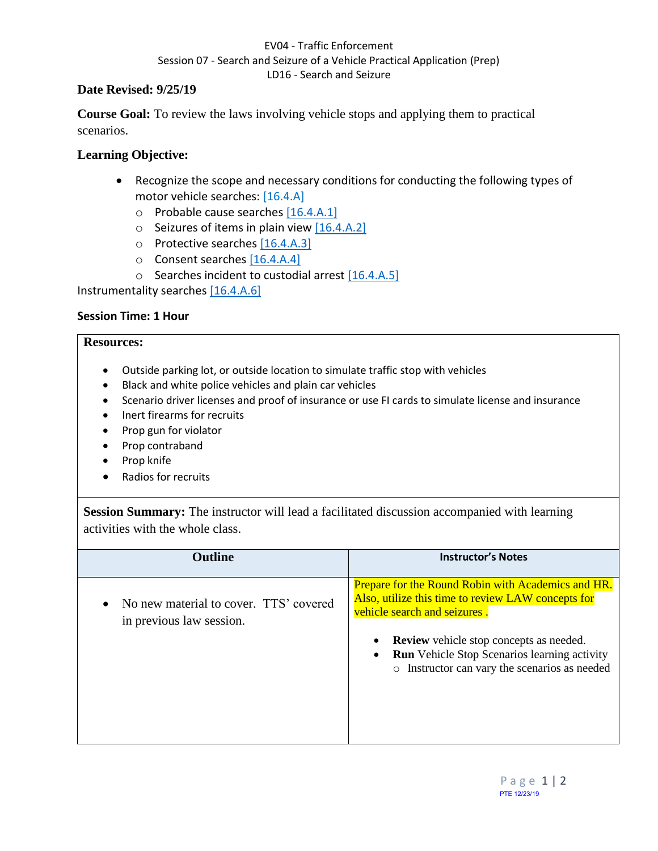## EV04 - Traffic Enforcement Session 07 - Search and Seizure of a Vehicle Practical Application (Prep) LD16 - Search and Seizure

### **Date Revised: 9/25/19**

**Course Goal:** To review the laws involving vehicle stops and applying them to practical scenarios.

# **Learning Objective:**

- Recognize the scope and necessary conditions for conducting the following types of motor vehicle searches: [16.4.A]
	- o Probable cause searches [16.4.A.1]
	- $\circ$  Seizures of items in plain view [16.4.A.2]
	- o Protective searches [16.4.A.3]
	- o Consent searches [16.4.A.4]
	- o Searches incident to custodial arrest [16.4.A.5]

Instrumentality searches [16.4.A.6]

### **Session Time: 1 Hour**

#### **Resources:**

- Outside parking lot, or outside location to simulate traffic stop with vehicles
- Black and white police vehicles and plain car vehicles
- Scenario driver licenses and proof of insurance or use FI cards to simulate license and insurance
- Inert firearms for recruits
- Prop gun for violator
- Prop contraband
- Prop knife
- Radios for recruits

**Session Summary:** The instructor will lead a facilitated discussion accompanied with learning activities with the whole class.

| <b>Outline</b>                                                     | <b>Instructor's Notes</b>                                                                                                                                                                                                                                                                                 |
|--------------------------------------------------------------------|-----------------------------------------------------------------------------------------------------------------------------------------------------------------------------------------------------------------------------------------------------------------------------------------------------------|
| No new material to cover. TTS' covered<br>in previous law session. | <b>Prepare for the Round Robin with Academics and HR.</b><br>Also, utilize this time to review LAW concepts for<br>vehicle search and seizures.<br><b>Review</b> vehicle stop concepts as needed.<br><b>Run</b> Vehicle Stop Scenarios learning activity<br>o Instructor can vary the scenarios as needed |